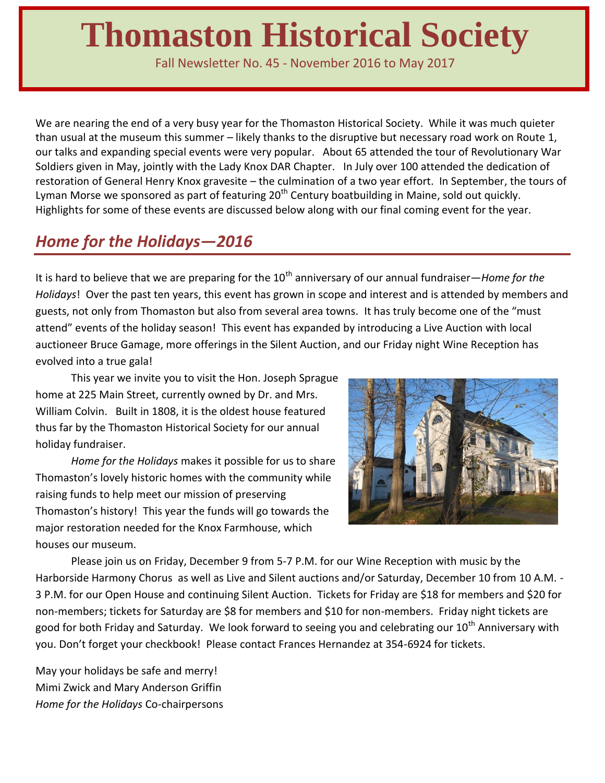# **Thomaston Historical Society**

Fall Newsletter No. 45 - November 2016 to May 2017

We are nearing the end of a very busy year for the Thomaston Historical Society. While it was much quieter than usual at the museum this summer – likely thanks to the disruptive but necessary road work on Route 1, our talks and expanding special events were very popular. About 65 attended the tour of Revolutionary War Soldiers given in May, jointly with the Lady Knox DAR Chapter. In July over 100 attended the dedication of restoration of General Henry Knox gravesite – the culmination of a two year effort. In September, the tours of Lyman Morse we sponsored as part of featuring  $20<sup>th</sup>$  Century boatbuilding in Maine, sold out quickly. Highlights for some of these events are discussed below along with our final coming event for the year.

### *Home for the Holidays—2016*

It is hard to believe that we are preparing for the 10<sup>th</sup> anniversary of our annual fundraiser—*Home for the Holidays*! Over the past ten years, this event has grown in scope and interest and is attended by members and guests, not only from Thomaston but also from several area towns. It has truly become one of the "must attend" events of the holiday season! This event has expanded by introducing a Live Auction with local auctioneer Bruce Gamage, more offerings in the Silent Auction, and our Friday night Wine Reception has evolved into a true gala!

This year we invite you to visit the Hon. Joseph Sprague home at 225 Main Street, currently owned by Dr. and Mrs. William Colvin. Built in 1808, it is the oldest house featured thus far by the Thomaston Historical Society for our annual holiday fundraiser.

*Home for the Holidays* makes it possible for us to share Thomaston's lovely historic homes with the community while raising funds to help meet our mission of preserving Thomaston's history! This year the funds will go towards the major restoration needed for the Knox Farmhouse, which houses our museum.



Please join us on Friday, December 9 from 5-7 P.M. for our Wine Reception with music by the Harborside Harmony Chorus as well as Live and Silent auctions and/or Saturday, December 10 from 10 A.M. - 3 P.M. for our Open House and continuing Silent Auction. Tickets for Friday are \$18 for members and \$20 for non-members; tickets for Saturday are \$8 for members and \$10 for non-members. Friday night tickets are good for both Friday and Saturday. We look forward to seeing you and celebrating our 10<sup>th</sup> Anniversary with you. Don't forget your checkbook! Please contact Frances Hernandez at 354-6924 for tickets.

May your holidays be safe and merry! Mimi Zwick and Mary Anderson Griffin *Home for the Holidays* Co-chairpersons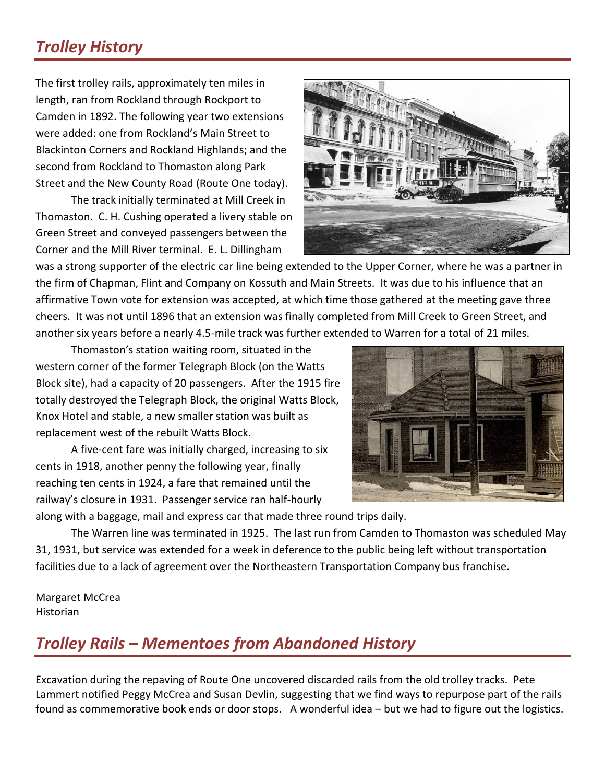# *Trolley History*

The first trolley rails, approximately ten miles in length, ran from Rockland through Rockport to Camden in 1892. The following year two extensions were added: one from Rockland's Main Street to Blackinton Corners and Rockland Highlands; and the second from Rockland to Thomaston along Park Street and the New County Road (Route One today).

The track initially terminated at Mill Creek in Thomaston. C. H. Cushing operated a livery stable on Green Street and conveyed passengers between the Corner and the Mill River terminal. E. L. Dillingham



was a strong supporter of the electric car line being extended to the Upper Corner, where he was a partner in the firm of Chapman, Flint and Company on Kossuth and Main Streets. It was due to his influence that an affirmative Town vote for extension was accepted, at which time those gathered at the meeting gave three cheers. It was not until 1896 that an extension was finally completed from Mill Creek to Green Street, and another six years before a nearly 4.5-mile track was further extended to Warren for a total of 21 miles.

Thomaston's station waiting room, situated in the western corner of the former Telegraph Block (on the Watts Block site), had a capacity of 20 passengers. After the 1915 fire totally destroyed the Telegraph Block, the original Watts Block, Knox Hotel and stable, a new smaller station was built as replacement west of the rebuilt Watts Block.

A five-cent fare was initially charged, increasing to six cents in 1918, another penny the following year, finally reaching ten cents in 1924, a fare that remained until the railway's closure in 1931. Passenger service ran half-hourly



along with a baggage, mail and express car that made three round trips daily.

The Warren line was terminated in 1925. The last run from Camden to Thomaston was scheduled May 31, 1931, but service was extended for a week in deference to the public being left without transportation facilities due to a lack of agreement over the Northeastern Transportation Company bus franchise.

Margaret McCrea Historian

#### *Trolley Rails – Mementoes from Abandoned History*

Excavation during the repaving of Route One uncovered discarded rails from the old trolley tracks. Pete Lammert notified Peggy McCrea and Susan Devlin, suggesting that we find ways to repurpose part of the rails found as commemorative book ends or door stops. A wonderful idea – but we had to figure out the logistics.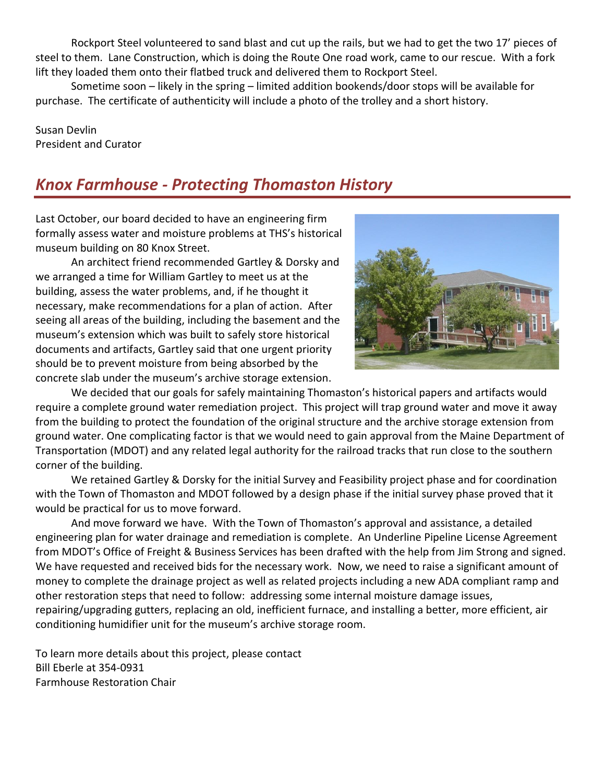Rockport Steel volunteered to sand blast and cut up the rails, but we had to get the two 17' pieces of steel to them. Lane Construction, which is doing the Route One road work, came to our rescue. With a fork lift they loaded them onto their flatbed truck and delivered them to Rockport Steel.

Sometime soon – likely in the spring – limited addition bookends/door stops will be available for purchase. The certificate of authenticity will include a photo of the trolley and a short history.

Susan Devlin President and Curator

### *Knox Farmhouse - Protecting Thomaston History*

Last October, our board decided to have an engineering firm formally assess water and moisture problems at THS's historical museum building on 80 Knox Street.

An architect friend recommended Gartley & Dorsky and we arranged a time for William Gartley to meet us at the building, assess the water problems, and, if he thought it necessary, make recommendations for a plan of action. After seeing all areas of the building, including the basement and the museum's extension which was built to safely store historical documents and artifacts, Gartley said that one urgent priority should be to prevent moisture from being absorbed by the concrete slab under the museum's archive storage extension.



We decided that our goals for safely maintaining Thomaston's historical papers and artifacts would require a complete ground water remediation project. This project will trap ground water and move it away from the building to protect the foundation of the original structure and the archive storage extension from ground water. One complicating factor is that we would need to gain approval from the Maine Department of Transportation (MDOT) and any related legal authority for the railroad tracks that run close to the southern corner of the building.

We retained Gartley & Dorsky for the initial Survey and Feasibility project phase and for coordination with the Town of Thomaston and MDOT followed by a design phase if the initial survey phase proved that it would be practical for us to move forward.

And move forward we have. With the Town of Thomaston's approval and assistance, a detailed engineering plan for water drainage and remediation is complete. An Underline Pipeline License Agreement from MDOT's Office of Freight & Business Services has been drafted with the help from Jim Strong and signed. We have requested and received bids for the necessary work. Now, we need to raise a significant amount of money to complete the drainage project as well as related projects including a new ADA compliant ramp and other restoration steps that need to follow: addressing some internal moisture damage issues, repairing/upgrading gutters, replacing an old, inefficient furnace, and installing a better, more efficient, air conditioning humidifier unit for the museum's archive storage room.

To learn more details about this project, please contact Bill Eberle at 354-0931 Farmhouse Restoration Chair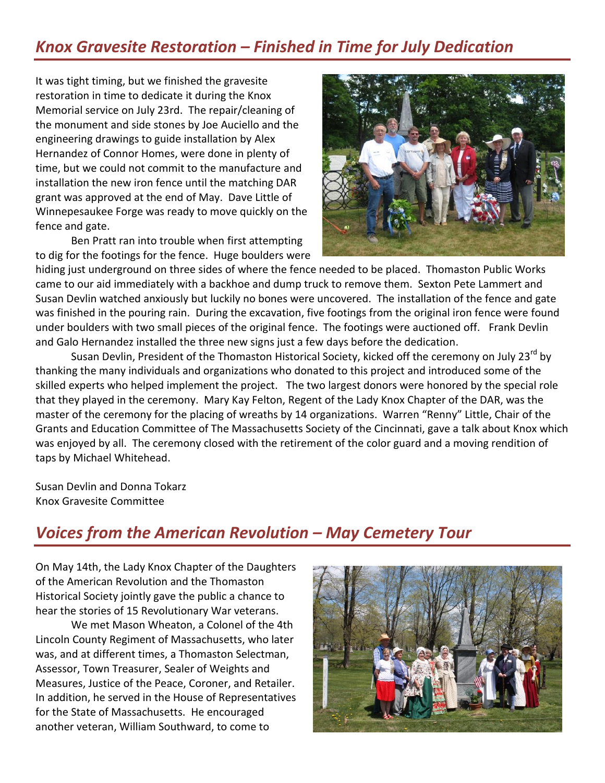### *Knox Gravesite Restoration – Finished in Time for July Dedication*

It was tight timing, but we finished the gravesite restoration in time to dedicate it during the Knox Memorial service on July 23rd. The repair/cleaning of the monument and side stones by Joe Auciello and the engineering drawings to guide installation by Alex Hernandez of Connor Homes, were done in plenty of time, but we could not commit to the manufacture and installation the new iron fence until the matching DAR grant was approved at the end of May. Dave Little of Winnepesaukee Forge was ready to move quickly on the fence and gate.

Ben Pratt ran into trouble when first attempting to dig for the footings for the fence. Huge boulders were



hiding just underground on three sides of where the fence needed to be placed. Thomaston Public Works came to our aid immediately with a backhoe and dump truck to remove them. Sexton Pete Lammert and Susan Devlin watched anxiously but luckily no bones were uncovered. The installation of the fence and gate was finished in the pouring rain. During the excavation, five footings from the original iron fence were found under boulders with two small pieces of the original fence. The footings were auctioned off. Frank Devlin and Galo Hernandez installed the three new signs just a few days before the dedication.

Susan Devlin, President of the Thomaston Historical Society, kicked off the ceremony on July 23<sup>rd</sup> by thanking the many individuals and organizations who donated to this project and introduced some of the skilled experts who helped implement the project. The two largest donors were honored by the special role that they played in the ceremony. Mary Kay Felton, Regent of the Lady Knox Chapter of the DAR, was the master of the ceremony for the placing of wreaths by 14 organizations. Warren "Renny" Little, Chair of the Grants and Education Committee of The Massachusetts Society of the Cincinnati, gave a talk about Knox which was enjoyed by all. The ceremony closed with the retirement of the color guard and a moving rendition of taps by Michael Whitehead.

Susan Devlin and Donna Tokarz Knox Gravesite Committee

#### *Voices from the American Revolution – May Cemetery Tour*

On May 14th, the Lady Knox Chapter of the Daughters of the American Revolution and the Thomaston Historical Society jointly gave the public a chance to hear the stories of 15 Revolutionary War veterans.

We met Mason Wheaton, a Colonel of the 4th Lincoln County Regiment of Massachusetts, who later was, and at different times, a Thomaston Selectman, Assessor, Town Treasurer, Sealer of Weights and Measures, Justice of the Peace, Coroner, and Retailer. In addition, he served in the House of Representatives for the State of Massachusetts. He encouraged another veteran, William Southward, to come to

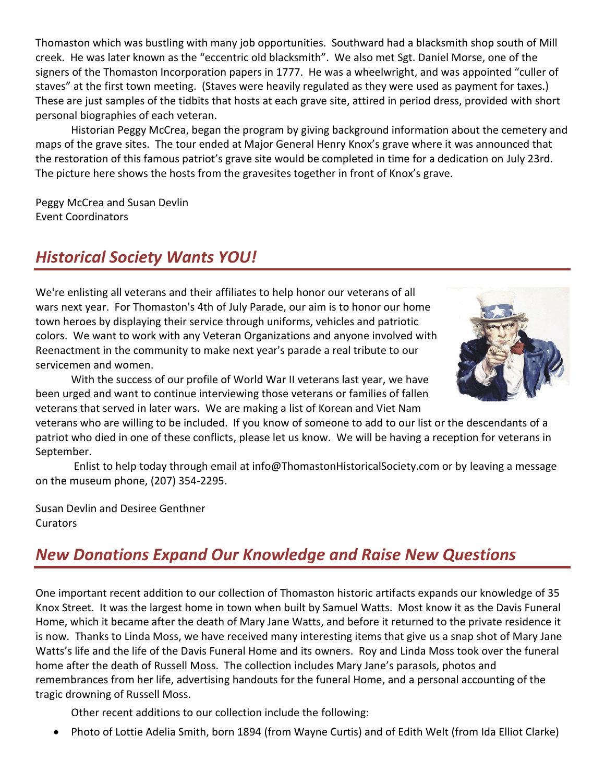Thomaston which was bustling with many job opportunities. Southward had a blacksmith shop south of Mill creek. He was later known as the "eccentric old blacksmith". We also met Sgt. Daniel Morse, one of the signers of the Thomaston Incorporation papers in 1777. He was a wheelwright, and was appointed "culler of staves" at the first town meeting. (Staves were heavily regulated as they were used as payment for taxes.) These are just samples of the tidbits that hosts at each grave site, attired in period dress, provided with short personal biographies of each veteran.

Historian Peggy McCrea, began the program by giving background information about the cemetery and maps of the grave sites. The tour ended at Major General Henry Knox's grave where it was announced that the restoration of this famous patriot's grave site would be completed in time for a dedication on July 23rd. The picture here shows the hosts from the gravesites together in front of Knox's grave.

Peggy McCrea and Susan Devlin Event Coordinators

#### *Historical Society Wants YOU!*

We're enlisting all veterans and their affiliates to help honor our veterans of all wars next year. For Thomaston's 4th of July Parade, our aim is to honor our home town heroes by displaying their service through uniforms, vehicles and patriotic colors. We want to work with any Veteran Organizations and anyone involved with Reenactment in the community to make next year's parade a real tribute to our servicemen and women.



With the success of our profile of World War II veterans last year, we have been urged and want to continue interviewing those veterans or families of fallen veterans that served in later wars. We are making a list of Korean and Viet Nam

veterans who are willing to be included. If you know of someone to add to our list or the descendants of a patriot who died in one of these conflicts, please let us know. We will be having a reception for veterans in September.

Enlist to help today through email at info@ThomastonHistoricalSociety.com or by leaving a message on the museum phone, (207) 354-2295.

Susan Devlin and Desiree Genthner **Curators** 

## *New Donations Expand Our Knowledge and Raise New Questions*

One important recent addition to our collection of Thomaston historic artifacts expands our knowledge of 35 Knox Street. It was the largest home in town when built by Samuel Watts. Most know it as the Davis Funeral Home, which it became after the death of Mary Jane Watts, and before it returned to the private residence it is now. Thanks to Linda Moss, we have received many interesting items that give us a snap shot of Mary Jane Watts's life and the life of the Davis Funeral Home and its owners. Roy and Linda Moss took over the funeral home after the death of Russell Moss. The collection includes Mary Jane's parasols, photos and remembrances from her life, advertising handouts for the funeral Home, and a personal accounting of the tragic drowning of Russell Moss.

Other recent additions to our collection include the following:

Photo of Lottie Adelia Smith, born 1894 (from Wayne Curtis) and of Edith Welt (from Ida Elliot Clarke)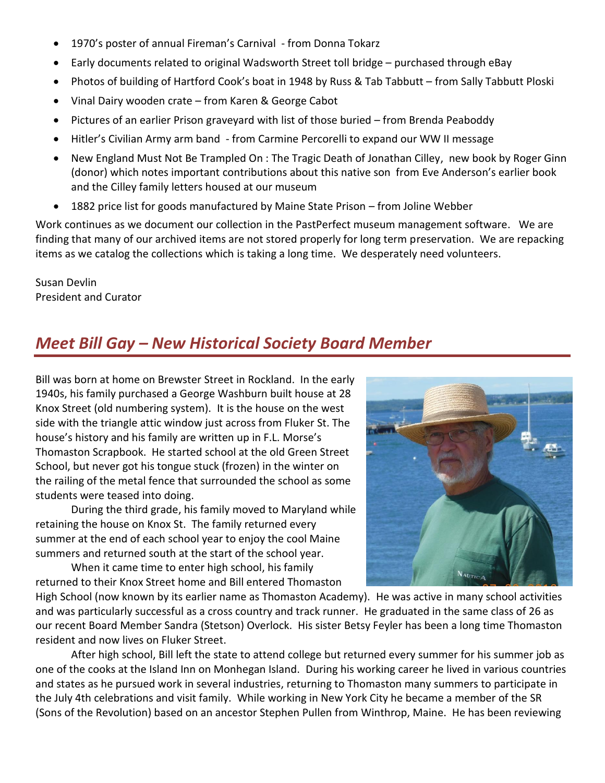- 1970's poster of annual Fireman's Carnival from Donna Tokarz
- Early documents related to original Wadsworth Street toll bridge purchased through eBay
- Photos of building of Hartford Cook's boat in 1948 by Russ & Tab Tabbutt from Sally Tabbutt Ploski
- Vinal Dairy wooden crate from Karen & George Cabot
- Pictures of an earlier Prison graveyard with list of those buried from Brenda Peaboddy
- Hitler's Civilian Army arm band from Carmine Percorelli to expand our WW II message
- New England Must Not Be Trampled On : The Tragic Death of Jonathan Cilley, new book by Roger Ginn (donor) which notes important contributions about this native son from Eve Anderson's earlier book and the Cilley family letters housed at our museum
- 1882 price list for goods manufactured by Maine State Prison from Joline Webber

Work continues as we document our collection in the PastPerfect museum management software. We are finding that many of our archived items are not stored properly for long term preservation. We are repacking items as we catalog the collections which is taking a long time. We desperately need volunteers.

Susan Devlin President and Curator

### *Meet Bill Gay – New Historical Society Board Member*

Bill was born at home on Brewster Street in Rockland. In the early 1940s, his family purchased a George Washburn built house at 28 Knox Street (old numbering system). It is the house on the west side with the triangle attic window just across from Fluker St. The house's history and his family are written up in F.L. Morse's Thomaston Scrapbook. He started school at the old Green Street School, but never got his tongue stuck (frozen) in the winter on the railing of the metal fence that surrounded the school as some students were teased into doing.

During the third grade, his family moved to Maryland while retaining the house on Knox St. The family returned every summer at the end of each school year to enjoy the cool Maine summers and returned south at the start of the school year.

When it came time to enter high school, his family returned to their Knox Street home and Bill entered Thomaston



High School (now known by its earlier name as Thomaston Academy). He was active in many school activities and was particularly successful as a cross country and track runner. He graduated in the same class of 26 as our recent Board Member Sandra (Stetson) Overlock. His sister Betsy Feyler has been a long time Thomaston resident and now lives on Fluker Street.

After high school, Bill left the state to attend college but returned every summer for his summer job as one of the cooks at the Island Inn on Monhegan Island. During his working career he lived in various countries and states as he pursued work in several industries, returning to Thomaston many summers to participate in the July 4th celebrations and visit family. While working in New York City he became a member of the SR (Sons of the Revolution) based on an ancestor Stephen Pullen from Winthrop, Maine. He has been reviewing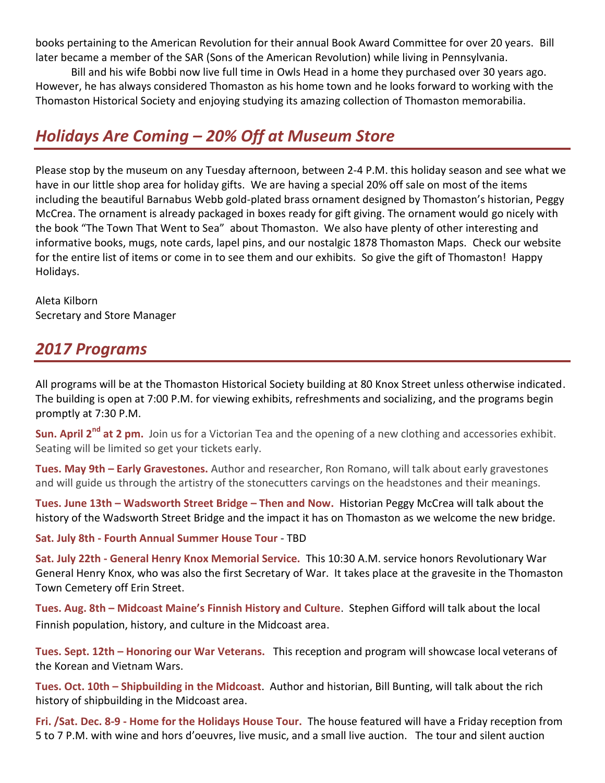books pertaining to the American Revolution for their annual Book Award Committee for over 20 years. Bill later became a member of the SAR (Sons of the American Revolution) while living in Pennsylvania.

Bill and his wife Bobbi now live full time in Owls Head in a home they purchased over 30 years ago. However, he has always considered Thomaston as his home town and he looks forward to working with the Thomaston Historical Society and enjoying studying its amazing collection of Thomaston memorabilia.

#### *Holidays Are Coming – 20% Off at Museum Store*

Please stop by the museum on any Tuesday afternoon, between 2-4 P.M. this holiday season and see what we have in our little shop area for holiday gifts. We are having a special 20% off sale on most of the items including the beautiful Barnabus Webb gold-plated brass ornament designed by Thomaston's historian, Peggy McCrea. The ornament is already packaged in boxes ready for gift giving. The ornament would go nicely with the book "The Town That Went to Sea" about Thomaston. We also have plenty of other interesting and informative books, mugs, note cards, lapel pins, and our nostalgic 1878 Thomaston Maps. Check our website for the entire list of items or come in to see them and our exhibits. So give the gift of Thomaston! Happy Holidays.

Aleta Kilborn Secretary and Store Manager

#### *2017 Programs*

All programs will be at the Thomaston Historical Society building at 80 Knox Street unless otherwise indicated. The building is open at 7:00 P.M. for viewing exhibits, refreshments and socializing, and the programs begin promptly at 7:30 P.M.

**Sun. April 2<sup>nd</sup> at 2 pm.** Join us for a Victorian Tea and the opening of a new clothing and accessories exhibit. Seating will be limited so get your tickets early.

**Tues. May 9th – Early Gravestones.** Author and researcher, Ron Romano, will talk about early gravestones and will guide us through the artistry of the stonecutters carvings on the headstones and their meanings.

**Tues. June 13th – Wadsworth Street Bridge – Then and Now.** Historian Peggy McCrea will talk about the history of the Wadsworth Street Bridge and the impact it has on Thomaston as we welcome the new bridge.

**Sat. July 8th - Fourth Annual Summer House Tour** - TBD

**Sat. July 22th - General Henry Knox Memorial Service.** This 10:30 A.M. service honors Revolutionary War General Henry Knox, who was also the first Secretary of War. It takes place at the gravesite in the Thomaston Town Cemetery off Erin Street.

**Tues. Aug. 8th – Midcoast Maine's Finnish History and Culture**. Stephen Gifford will talk about the local Finnish population, history, and culture in the Midcoast area.

**Tues. Sept. 12th – Honoring our War Veterans.** This reception and program will showcase local veterans of the Korean and Vietnam Wars.

**Tues. Oct. 10th – Shipbuilding in the Midcoast**. Author and historian, Bill Bunting, will talk about the rich history of shipbuilding in the Midcoast area.

**Fri. /Sat. Dec. 8-9 - Home for the Holidays House Tour.** The house featured will have a Friday reception from 5 to 7 P.M. with wine and hors d'oeuvres, live music, and a small live auction. The tour and silent auction